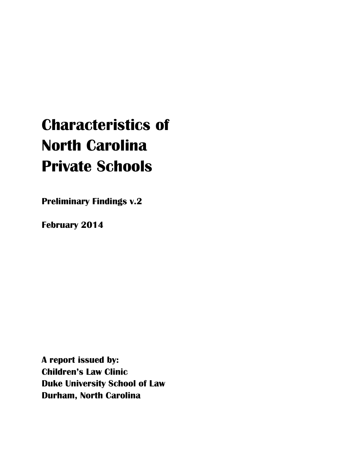# **Characteristics of North Carolina Private Schools**

**Preliminary Findings v.2**

**February 2014**

**A report issued by: Children's Law Clinic Duke University School of Law Durham, North Carolina**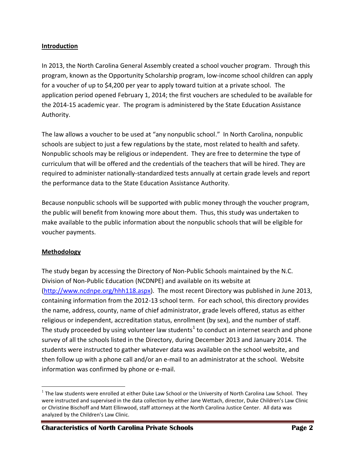#### **Introduction**

In 2013, the North Carolina General Assembly created a school voucher program. Through this program, known as the Opportunity Scholarship program, low-income school children can apply for a voucher of up to \$4,200 per year to apply toward tuition at a private school. The application period opened February 1, 2014; the first vouchers are scheduled to be available for the 2014-15 academic year. The program is administered by the State Education Assistance Authority.

The law allows a voucher to be used at "any nonpublic school." In North Carolina, nonpublic schools are subject to just a few regulations by the state, most related to health and safety. Nonpublic schools may be religious or independent. They are free to determine the type of curriculum that will be offered and the credentials of the teachers that will be hired. They are required to administer nationally-standardized tests annually at certain grade levels and report the performance data to the State Education Assistance Authority.

Because nonpublic schools will be supported with public money through the voucher program, the public will benefit from knowing more about them. Thus, this study was undertaken to make available to the public information about the nonpublic schools that will be eligible for voucher payments.

# **Methodology**

 $\overline{a}$ 

The study began by accessing the Directory of Non-Public Schools maintained by the N.C. Division of Non-Public Education (NCDNPE) and available on its website at [\(http://www.ncdnpe.org/hhh118.aspx\)](http://www.ncdnpe.org/hhh118.aspx). The most recent Directory was published in June 2013, containing information from the 2012-13 school term. For each school, this directory provides the name, address, county, name of chief administrator, grade levels offered, status as either religious or independent, accreditation status, enrollment (by sex), and the number of staff. The study proceeded by using volunteer law students<sup>1</sup> to conduct an internet search and phone survey of all the schools listed in the Directory, during December 2013 and January 2014. The students were instructed to gather whatever data was available on the school website, and then follow up with a phone call and/or an e-mail to an administrator at the school. Website information was confirmed by phone or e-mail.

 $^1$  The law students were enrolled at either Duke Law School or the University of North Carolina Law School. They were instructed and supervised in the data collection by either Jane Wettach, director, Duke Children's Law Clinic or Christine Bischoff and Matt Ellinwood, staff attorneys at the North Carolina Justice Center. All data was analyzed by the Children's Law Clinic.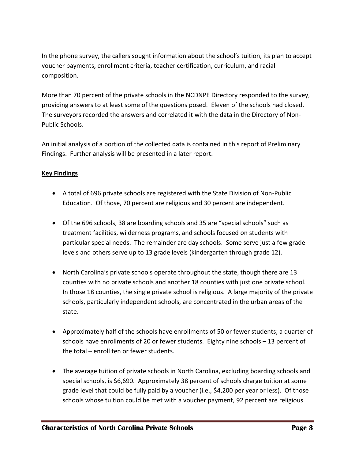In the phone survey, the callers sought information about the school's tuition, its plan to accept voucher payments, enrollment criteria, teacher certification, curriculum, and racial composition.

More than 70 percent of the private schools in the NCDNPE Directory responded to the survey, providing answers to at least some of the questions posed. Eleven of the schools had closed. The surveyors recorded the answers and correlated it with the data in the Directory of Non-Public Schools.

An initial analysis of a portion of the collected data is contained in this report of Preliminary Findings. Further analysis will be presented in a later report.

# **Key Findings**

- A total of 696 private schools are registered with the State Division of Non-Public Education. Of those, 70 percent are religious and 30 percent are independent.
- Of the 696 schools, 38 are boarding schools and 35 are "special schools" such as treatment facilities, wilderness programs, and schools focused on students with particular special needs. The remainder are day schools. Some serve just a few grade levels and others serve up to 13 grade levels (kindergarten through grade 12).
- North Carolina's private schools operate throughout the state, though there are 13 counties with no private schools and another 18 counties with just one private school. In those 18 counties, the single private school is religious. A large majority of the private schools, particularly independent schools, are concentrated in the urban areas of the state.
- Approximately half of the schools have enrollments of 50 or fewer students; a quarter of schools have enrollments of 20 or fewer students. Eighty nine schools – 13 percent of the total – enroll ten or fewer students.
- The average tuition of private schools in North Carolina, excluding boarding schools and special schools, is \$6,690. Approximately 38 percent of schools charge tuition at some grade level that could be fully paid by a voucher (i.e., \$4,200 per year or less). Of those schools whose tuition could be met with a voucher payment, 92 percent are religious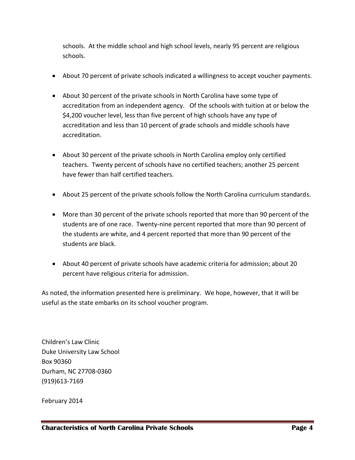schools. At the middle school and high school levels, nearly 95 percent are religious schools.

- About 70 percent of private schools indicated a willingness to accept voucher payments.
- About 30 percent of the private schools in North Carolina have some type of accreditation from an independent agency. Of the schools with tuition at or below the \$4,200 voucher level, less than five percent of high schools have any type of accreditation and less than 10 percent of grade schools and middle schools have accreditation.
- About 30 percent of the private schools in North Carolina employ only certified teachers. Twenty percent of schools have no certified teachers; another 25 percent have fewer than half certified teachers.
- About 25 percent of the private schools follow the North Carolina curriculum standards.
- More than 30 percent of the private schools reported that more than 90 percent of the students are of one race. Twenty-nine percent reported that more than 90 percent of the students are white, and 4 percent reported that more than 90 percent of the students are black.
- About 40 percent of private schools have academic criteria for admission; about 20 percent have religious criteria for admission.

As noted, the information presented here is preliminary. We hope, however, that it will be useful as the state embarks on its school voucher program.

Children's Law Clinic Duke University Law School Box 90360 Durham, NC 27708-0360 (919)613-7169

February 2014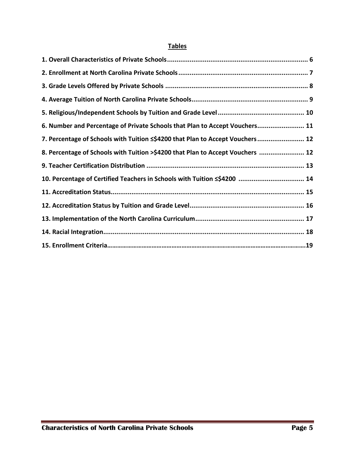# **Tables**

| 6. Number and Percentage of Private Schools that Plan to Accept Vouchers 11    |
|--------------------------------------------------------------------------------|
| 7. Percentage of Schools with Tuition <\$4200 that Plan to Accept Vouchers 12  |
| 8. Percentage of Schools with Tuition >\$4200 that Plan to Accept Vouchers  12 |
|                                                                                |
| 10. Percentage of Certified Teachers in Schools with Tuition <\$4200  14       |
|                                                                                |
|                                                                                |
|                                                                                |
|                                                                                |
|                                                                                |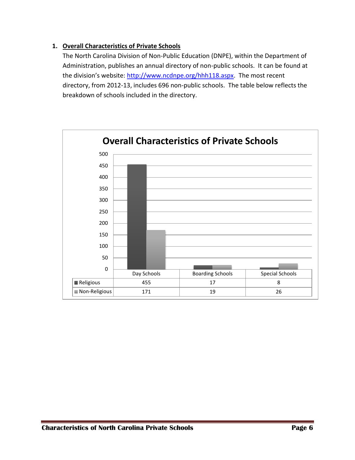# **1. Overall Characteristics of Private Schools**

The North Carolina Division of Non-Public Education (DNPE), within the Department of Administration, publishes an annual directory of non-public schools. It can be found at the division's website: [http://www.ncdnpe.org/hhh118.aspx.](http://www.ncdnpe.org/hhh118.aspx) The most recent directory, from 2012-13, includes 696 non-public schools. The table below reflects the breakdown of schools included in the directory.

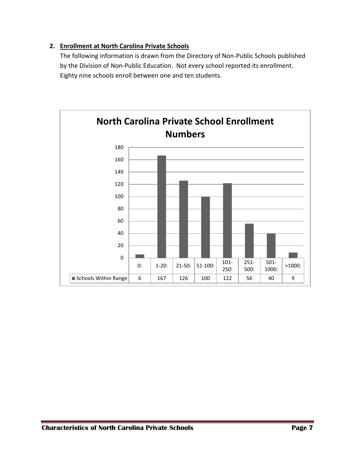# **2. Enrollment at North Carolina Private Schools**

The following information is drawn from the Directory of Non-Public Schools published by the Division of Non-Public Education. Not every school reported its enrollment. Eighty nine schools enroll between one and ten students.

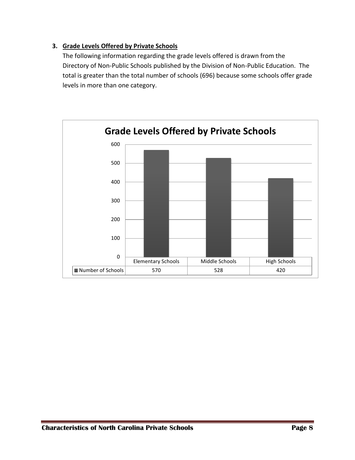# **3. Grade Levels Offered by Private Schools**

The following information regarding the grade levels offered is drawn from the Directory of Non-Public Schools published by the Division of Non-Public Education. The total is greater than the total number of schools (696) because some schools offer grade levels in more than one category.

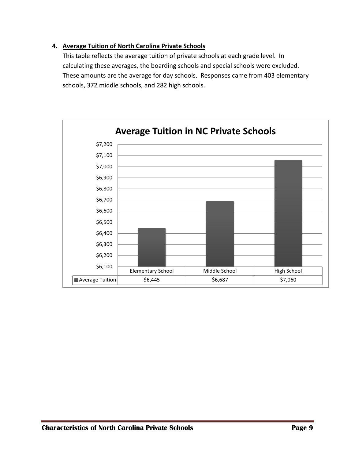## **4. Average Tuition of North Carolina Private Schools**

This table reflects the average tuition of private schools at each grade level. In calculating these averages, the boarding schools and special schools were excluded. These amounts are the average for day schools. Responses came from 403 elementary schools, 372 middle schools, and 282 high schools.

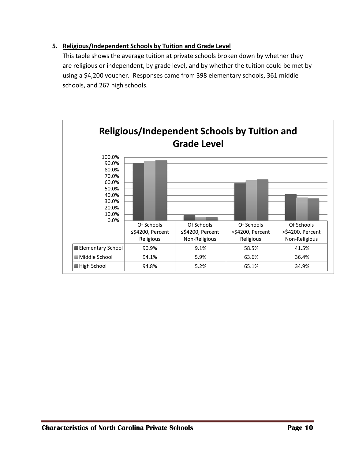# **5. Religious/Independent Schools by Tuition and Grade Level**

This table shows the average tuition at private schools broken down by whether they are religious or independent, by grade level, and by whether the tuition could be met by using a \$4,200 voucher. Responses came from 398 elementary schools, 361 middle schools, and 267 high schools.

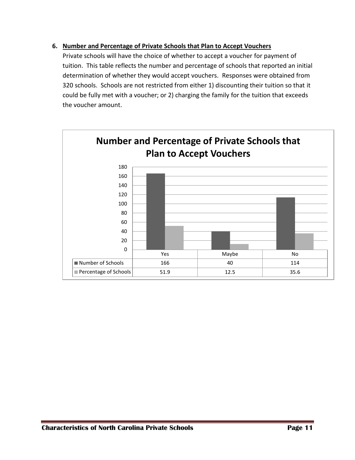#### **6. Number and Percentage of Private Schools that Plan to Accept Vouchers**

Private schools will have the choice of whether to accept a voucher for payment of tuition. This table reflects the number and percentage of schools that reported an initial determination of whether they would accept vouchers. Responses were obtained from 320 schools. Schools are not restricted from either 1) discounting their tuition so that it could be fully met with a voucher; or 2) charging the family for the tuition that exceeds the voucher amount.

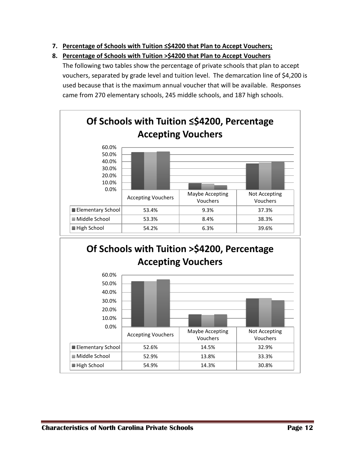- **7. Percentage of Schools with Tuition ≤\$4200 that Plan to Accept Vouchers;**
- **8. Percentage of Schools with Tuition >\$4200 that Plan to Accept Vouchers**

The following two tables show the percentage of private schools that plan to accept vouchers, separated by grade level and tuition level. The demarcation line of \$4,200 is used because that is the maximum annual voucher that will be available. Responses came from 270 elementary schools, 245 middle schools, and 187 high schools.



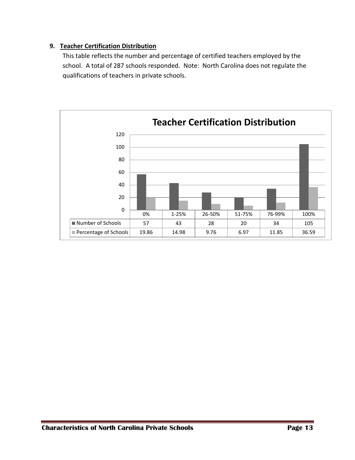# **9. Teacher Certification Distribution**

This table reflects the number and percentage of certified teachers employed by the school. A total of 287 schools responded. Note: North Carolina does not regulate the qualifications of teachers in private schools.

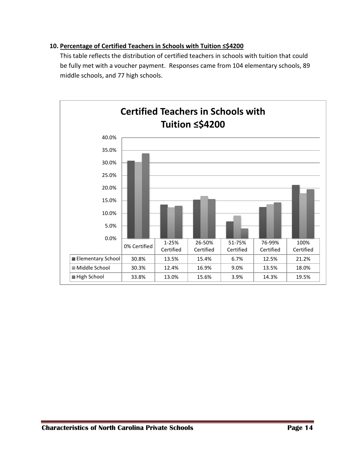## **10. Percentage of Certified Teachers in Schools with Tuition ≤\$4200**

This table reflects the distribution of certified teachers in schools with tuition that could be fully met with a voucher payment. Responses came from 104 elementary schools, 89 middle schools, and 77 high schools.

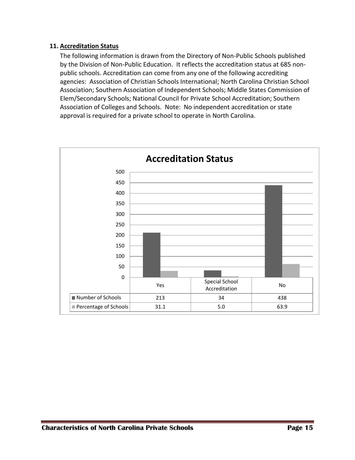#### **11. Accreditation Status**

The following information is drawn from the Directory of Non-Public Schools published by the Division of Non-Public Education. It reflects the accreditation status at 685 nonpublic schools. Accreditation can come from any one of the following accrediting agencies: Association of Christian Schools International; North Carolina Christian School Association; Southern Association of Independent Schools; Middle States Commission of Elem/Secondary Schools; National Council for Private School Accreditation; Southern Association of Colleges and Schools. Note: No independent accreditation or state approval is required for a private school to operate in North Carolina.

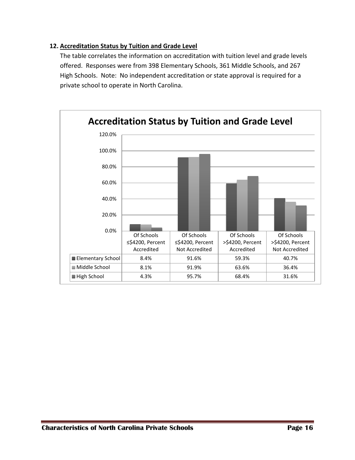## **12. Accreditation Status by Tuition and Grade Level**

The table correlates the information on accreditation with tuition level and grade levels offered. Responses were from 398 Elementary Schools, 361 Middle Schools, and 267 High Schools. Note: No independent accreditation or state approval is required for a private school to operate in North Carolina.

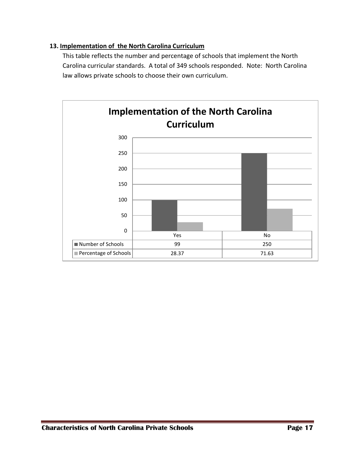#### **13. Implementation of the North Carolina Curriculum**

This table reflects the number and percentage of schools that implement the North Carolina curricular standards. A total of 349 schools responded. Note: North Carolina law allows private schools to choose their own curriculum.

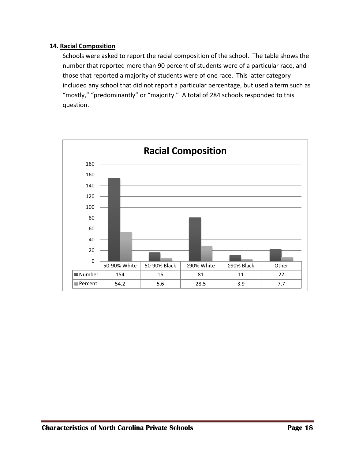#### **14. Racial Composition**

Schools were asked to report the racial composition of the school. The table shows the number that reported more than 90 percent of students were of a particular race, and those that reported a majority of students were of one race. This latter category included any school that did not report a particular percentage, but used a term such as "mostly," "predominantly" or "majority." A total of 284 schools responded to this question.

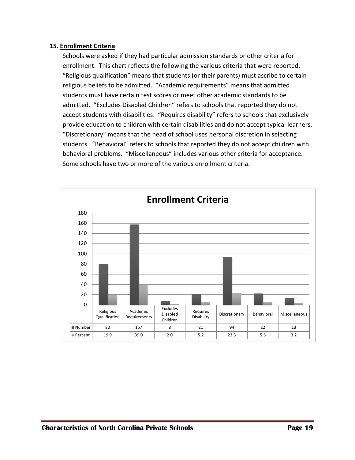#### **15. Enrollment Criteria**

Schools were asked if they had particular admission standards or other criteria for enrollment. This chart reflects the following the various criteria that were reported. "Religious qualification" means that students (or their parents) must ascribe to certain religious beliefs to be admitted. "Academic requirements" means that admitted students must have certain test scores or meet other academic standards to be admitted. "Excludes Disabled Children" refers to schools that reported they do not accept students with disabilities. "Requires disability" refers to schools that exclusively provide education to children with certain disabilities and do not accept typical learners. "Discretionary" means that the head of school uses personal discretion in selecting students. "Behavioral" refers to schools that reported they do not accept children with behavioral problems. "Miscellaneous" includes various other criteria for acceptance. Some schools have two or more of the various enrollment criteria.